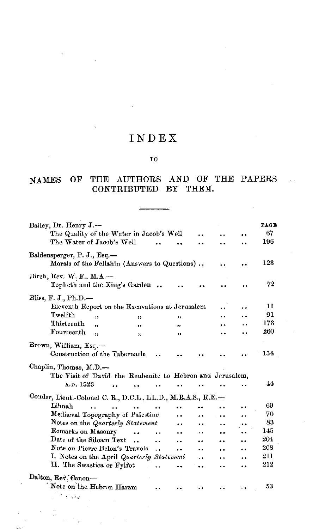# INDEX

#### TO

### NAMES OF THE AUTHORS AND OF THE PAPERS CONTRIBUTED BY THEM.

| Bailey, Dr. Henry J.-                                                        |                      |                      |                      |                      |     | PAGE |
|------------------------------------------------------------------------------|----------------------|----------------------|----------------------|----------------------|-----|------|
| The Quality of the Water in Jacob's Well                                     |                      |                      |                      |                      |     | 67   |
| The Water of Jacob's Well                                                    |                      |                      |                      |                      | a e | 196  |
| Baldensperger, P. J., Esq.-<br>Morals of the Fellahîn (Answers to Questions) |                      |                      |                      |                      |     | 123  |
| Birch, Rev. W. F., M.A.-<br>Topheth and the King's Garden.                   |                      |                      |                      |                      |     | 72   |
| Bliss, F. J., Ph.D.-                                                         |                      |                      |                      |                      |     |      |
| Eleventh Report on the Excavations at Jerusalem                              |                      |                      |                      |                      |     | 11   |
| Twelfth<br>$\overline{\mathbf{z}}$<br>,,                                     |                      | ,,                   |                      |                      |     | 91   |
| Thirteenth<br>$\overline{\mathbf{u}}$<br>, 1                                 |                      | $^{\prime\prime}$    |                      |                      |     | 173  |
| Fourteenth<br>,,<br>"                                                        |                      | ,,                   |                      |                      |     | 260  |
| Brown, William, Esq.-<br>Construction of the Tabernacle                      |                      |                      |                      |                      |     | 154  |
| Chaplin, Thomas, M.D.-                                                       |                      |                      |                      |                      |     |      |
| The Visit of David the Reubenite to Hebron and Jerusalem,                    |                      |                      |                      |                      |     |      |
| A.D. 1523                                                                    |                      |                      |                      |                      | . . | 44   |
| Conder, Lieut.-Colonel C. R., D.C.L., LL.D., M.R.A.S., R.E.-                 |                      |                      |                      |                      |     |      |
| Libnah                                                                       |                      | $\ddot{\phantom{a}}$ |                      |                      |     | 69   |
| Mediaval Topography of Palestine                                             |                      |                      |                      | . .                  | . . | 70   |
| Notes on the Quarterly Statement                                             |                      | $\ddot{\phantom{0}}$ |                      | . .                  | . . | 83   |
| Remarks on Masonry<br>$\ddot{\phantom{a}}$                                   |                      |                      | . .                  | $\bullet$            |     | 145  |
| Date of the Siloam Text<br>$\ddot{\phantom{a}}$                              | $\ddot{\phantom{a}}$ | . .                  |                      | $\ddot{\bullet}$     |     | 204  |
| Note on Pierre Belon's Travels                                               | $\ddot{\phantom{a}}$ | $\ddot{\phantom{0}}$ | $\ddot{\phantom{0}}$ | $\ddot{\phantom{0}}$ |     | 208  |
| I. Notes on the April Quarterly Statement                                    |                      |                      | $\ddot{\phantom{1}}$ | . .                  |     | 211  |
| II. The Swastica or Fylfot                                                   |                      | $\ddot{\phantom{1}}$ | $\ddot{\phantom{0}}$ | $\ddot{\phantom{a}}$ | ٠.  | 212  |
| Dalton, Rev. Canon-                                                          |                      |                      |                      |                      |     |      |
| Note on the Hebron Haram                                                     |                      |                      |                      |                      |     | 53   |
| the state of                                                                 |                      |                      |                      |                      |     |      |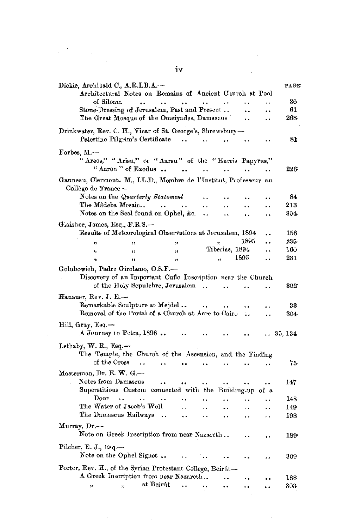|                          | Dickie, Archibald C., A.R.I.B.A.-<br>Architectural Notes on Remains of Ancient Church at Pool |                                          |                      |                      |                      |                      | PAGE    |
|--------------------------|-----------------------------------------------------------------------------------------------|------------------------------------------|----------------------|----------------------|----------------------|----------------------|---------|
| of Siloam                | $\ddot{\phantom{a}}$ .                                                                        | $\ddotsc$<br>$\bullet$ $\bullet$         | $\ddot{\phantom{a}}$ | $\ddot{\phantom{0}}$ |                      |                      | 26      |
|                          | Stone-Dressing of Jerusalem, Past and Present                                                 |                                          |                      |                      | . .                  |                      | 61      |
|                          | The Great Mosque of the Omeiyades, Damascus                                                   |                                          |                      |                      | $\ddot{\phantom{a}}$ | $\ddot{\phantom{0}}$ | 268     |
|                          | Drinkwater, Rev. C. H., Vicar of St. George's, Shrewsbury-<br>Palestine Pilgrim's Certificate |                                          |                      |                      |                      |                      | 81      |
| Forbes, M.-              |                                                                                               |                                          |                      |                      |                      |                      |         |
|                          | "Areos," "Arisu," or "Aarsu" of the "Harris Papyrus,"<br>"Aaron" of Exodus                    |                                          |                      | $\ddotsc$            | $\ddot{\phantom{a}}$ |                      | 226-    |
| Collège de France-       | Ganneau, Clermont. M., LL.D., Membre de l'Institut, Professeur au                             |                                          |                      |                      |                      |                      |         |
|                          | Notes on the Quarterly Statement                                                              |                                          | Ω.                   |                      |                      |                      | 84.     |
|                          | The Mâdeba Mosaic                                                                             |                                          | . .                  | $\ddot{\phantom{0}}$ |                      |                      | 213     |
|                          | Notes on the Seal found on Ophel, &c.                                                         |                                          |                      |                      | . .                  | ÷.                   | 304.    |
|                          |                                                                                               |                                          |                      |                      |                      |                      |         |
|                          | Glaisher, James, Esq., F.R.S.-                                                                |                                          |                      |                      |                      |                      |         |
|                          | Results of Meteorological Observations at Jerusalem, 1894                                     |                                          |                      |                      |                      |                      | 156     |
| ,,                       | ,,                                                                                            | ,,                                       |                      | ,,                   | 1895                 |                      | 235.    |
| 93                       | ,,                                                                                            | ,,                                       |                      | Tiberias, 1894       |                      | . .                  | 160     |
| ٠,                       | ,,                                                                                            | $^{\prime}$                              |                      | 33                   | 1895                 | $\ddot{\phantom{0}}$ | 231     |
|                          | Golubowich, Padre Girolamo, O.S.F.-                                                           |                                          |                      |                      |                      |                      |         |
|                          | Discovery of an Important Cufic Inscription near the Church                                   |                                          |                      |                      |                      |                      |         |
|                          | of the Holy Sepulchre, Jerusalem                                                              |                                          | $\ddotsc$            | $\ddot{\phantom{a}}$ |                      |                      | 302.    |
| Hanauer, Rev. J. E.---   |                                                                                               |                                          |                      |                      |                      |                      |         |
|                          |                                                                                               |                                          |                      |                      |                      |                      |         |
|                          | Remarkable Sculpture at Mejdel                                                                |                                          |                      |                      | $\ddot{\phantom{1}}$ |                      | 33      |
|                          | Removal of the Portal of a Church at Acre to Cairo                                            |                                          |                      |                      | ٠.                   |                      | 304     |
| Hill, Gray, Esq.-        | A Journey to Petra, 1896                                                                      |                                          |                      |                      |                      |                      | 35, 134 |
| Lethaby, W. R., Esq.—    |                                                                                               |                                          |                      |                      |                      |                      |         |
|                          | The Temple, the Church of the Ascension, and the Finding                                      |                                          |                      |                      |                      |                      |         |
|                          | of the Cross<br>$\ddot{\phantom{a}}$                                                          |                                          | . .                  |                      |                      | ç.                   | 75.     |
| Masterman, Dr. E. W. G.- |                                                                                               |                                          |                      |                      |                      |                      |         |
|                          |                                                                                               |                                          |                      |                      |                      |                      |         |
|                          | Notes from Damascus                                                                           | $\ddot{\phantom{0}}$<br>$\ddot{\bullet}$ | $\ddotsc$            | $\ddot{\phantom{1}}$ |                      | ٠.                   | 147     |
|                          | Superstitious Custom connected with the Building-up of a                                      |                                          |                      |                      |                      |                      |         |
| $_{\mathrm{Door}}$       | а.<br>$\ddotsc$                                                                               |                                          | . .                  | . .                  | . .                  | $\ddot{\phantom{0}}$ | 148     |
|                          | The Water of Jacob's Well                                                                     | . .                                      | ٠.                   |                      | ٠.                   | $\ddot{\phantom{0}}$ | 149     |
|                          | The Damascus Railways                                                                         | $\sim$<br>$\ddot{\phantom{0}}$           | . .                  | $\ddot{\phantom{0}}$ | . .                  | . .                  | 198     |
| Murray, Dr.-             | Note on Greek Inscription from near Nazareth                                                  |                                          |                      |                      |                      |                      | 189.    |
|                          |                                                                                               |                                          |                      |                      |                      |                      |         |
| Pilcher, E. J., Esq.-    | Note on the Ophel Signet                                                                      |                                          |                      |                      | μ.                   |                      | 309.    |
|                          | Porter, Rev. H., of the Syrian Protestant College, Beirût—                                    |                                          |                      |                      |                      |                      |         |
|                          | A Greek Inscription from near Nazareth                                                        |                                          |                      | $\ddot{\phantom{a}}$ |                      |                      | 188     |
| ,,                       | at Beirût<br>55                                                                               | $\ddot{\phantom{1}}$                     |                      | $\ddot{\phantom{1}}$ |                      |                      | 303     |
|                          |                                                                                               |                                          |                      |                      |                      |                      |         |
|                          |                                                                                               |                                          |                      |                      |                      |                      |         |
|                          |                                                                                               |                                          |                      |                      |                      |                      |         |
|                          |                                                                                               |                                          |                      |                      |                      |                      |         |
|                          |                                                                                               |                                          |                      |                      |                      |                      |         |

 $\mathcal{L}^{\text{max}}_{\text{max}}$  and  $\mathcal{L}^{\text{max}}_{\text{max}}$ 

 $\mathcal{L}^{\text{eff}}$ 

 $\frac{1}{\sqrt{2}}$ 

 $\bar{\bar{z}}$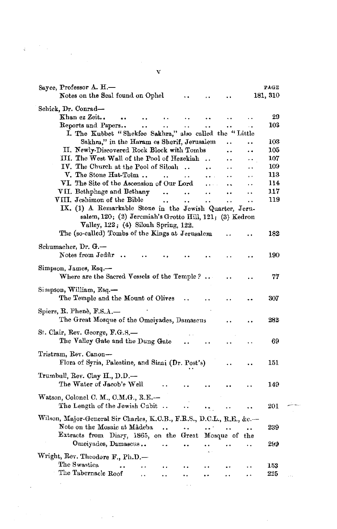| Sayce, Professor A. H.-<br>Notes on the Seal found on Ophel             |                      |               |                      |                      | PAGE<br>181, 310 |  |
|-------------------------------------------------------------------------|----------------------|---------------|----------------------|----------------------|------------------|--|
|                                                                         |                      |               |                      |                      |                  |  |
| Schick, Dr. Conrad—                                                     |                      |               |                      |                      |                  |  |
| Khan ez Zeit<br>                                                        |                      |               |                      | . .                  | 29               |  |
| Reports and Papers<br>$\ddot{\phantom{a}}$                              | . .                  |               | $\ddot{\phantom{0}}$ | $\ddot{\phantom{0}}$ | 103              |  |
| I. The Kubbet "Shekfee Sakhra," also called the "Little                 |                      |               |                      |                      |                  |  |
| Sakhra," in the Haram es Sherif, Jerusalem                              |                      |               | $\cdot$              | . .                  | 103              |  |
| II. Newly-Discovered Rock Block with Tombs                              |                      |               |                      | . .                  | 105              |  |
| III. The West Wall of the Pool of Hezekiah                              |                      |               |                      |                      | 107              |  |
| IV. The Church at the Pool of Siloah                                    |                      | $\cdot$       |                      |                      | 109              |  |
| V. The Stone Hat-Toim<br>$\ddot{\phantom{0}}$                           | $\ddot{\phantom{0}}$ |               | . .                  | . .                  | 113              |  |
| VI. The Site of the Ascension of Our Lord                               |                      | $\cdots$      |                      | . .                  | 114              |  |
| VII. Bethphage and Bethany<br>$\ddot{\phantom{a}}$                      |                      | . .           | $\ddot{\phantom{0}}$ |                      | 117              |  |
| VIII. Jeshimon of the Bible<br>$\ddot{\phantom{a}}$                     |                      | . .           | . .                  | $\ddot{\phantom{0}}$ | 119              |  |
| IX. (1) A Remarkable Stone in the Jewish Quarter, Jeru-                 |                      |               |                      |                      |                  |  |
| salem, 120; (2) Jeremiah's Grotto Hill, 121; (3) Kedron                 |                      |               |                      |                      |                  |  |
| Valley, 122; (4) Siloah Spring, 122.                                    |                      |               |                      |                      |                  |  |
| The (so-called) Tombs of the Kings at Jerusalem                         |                      |               |                      |                      | 182              |  |
|                                                                         |                      |               |                      |                      |                  |  |
| Schumacher, Dr. G.—                                                     |                      |               |                      |                      |                  |  |
| Notes from Jedûr                                                        |                      |               |                      |                      | 190              |  |
| Simpson, James, Esq.—<br>Where are the Sacred Vessels of the Temple?    |                      |               |                      |                      | 77               |  |
|                                                                         |                      |               |                      |                      |                  |  |
| Simpson, William, Esg.—<br>The Temple and the Mount of Olives           |                      |               |                      |                      | 307              |  |
|                                                                         |                      |               |                      |                      |                  |  |
| Spiers, R. Phenè, F.S. $A$ .                                            |                      |               |                      |                      |                  |  |
| The Great Mosque of the Omeiyades, Damascus                             |                      |               |                      |                      | 282              |  |
| St. Clair, Rev. George, F.G.S.-                                         |                      |               |                      |                      |                  |  |
| The Valley Gate and the Dung Gate                                       |                      |               |                      |                      | 69               |  |
|                                                                         |                      |               |                      |                      |                  |  |
| Tristram, Rev. Canon---                                                 |                      |               |                      |                      |                  |  |
| Flora of Syria, Palestine, and Sinai (Dr. Post's)                       |                      |               |                      |                      | 151              |  |
|                                                                         |                      |               |                      |                      |                  |  |
| Trumbull, Rev. Clay H., D.D.—                                           |                      |               |                      |                      |                  |  |
| The Water of Jacob's Well                                               |                      |               |                      |                      | 149              |  |
| Watson, Colonel C. M., C.M.G., R.E.-                                    |                      |               |                      |                      |                  |  |
| The Length of the Jewish Cabit                                          |                      |               |                      |                      | 201              |  |
|                                                                         |                      |               |                      |                      |                  |  |
| Wilson, Major-General Sir Charles, K.C.B., F.R.S., D.C.L., R.E., &c.--- |                      |               |                      |                      |                  |  |
| Note on the Mosaic at Mâdeba<br>$\ddot{\phantom{a}}$                    | ٠.                   | $\cdot \cdot$ |                      |                      | 239              |  |
| Extracts from Diary, 1865, on the Great Mosque of the                   |                      |               |                      |                      |                  |  |
| Omeiyades, Damascus<br>٠.                                               |                      | . .           |                      | . .                  | 299              |  |
|                                                                         |                      |               |                      |                      |                  |  |
| Wright, Rev. Theodore F., Ph.D.-                                        |                      |               |                      |                      |                  |  |
| The Swastica<br>٠.<br>. .                                               |                      |               |                      |                      | 153              |  |
| The Tabernacle Roof<br>. .                                              |                      |               |                      |                      | 225              |  |

 $\sim 10^{-10}$ 

V

ú,

 $\frac{1}{\sqrt{2}}\sum_{i=1}^{n} \frac{1}{\sqrt{2}}\left(\frac{1}{\sqrt{2}}\right)^2\left(\frac{1}{\sqrt{2}}\right)^2.$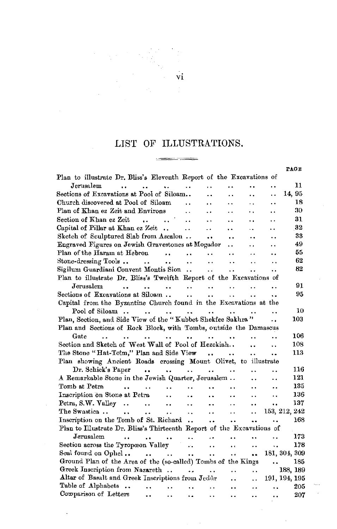# LIST OF ILLUSTRATIONS. ويسترد ويستبينها

 $\sim$ 

|                                                                        |                                                |                                                                                       |                                          |                                            |                      |                          | PAGE     |
|------------------------------------------------------------------------|------------------------------------------------|---------------------------------------------------------------------------------------|------------------------------------------|--------------------------------------------|----------------------|--------------------------|----------|
| Plan to illustrate Dr. Bliss's Eleventh Report of the Excavations of   |                                                |                                                                                       |                                          |                                            |                      |                          |          |
| Jerusalem                                                              | $\ddot{\phantom{a}}$                           | $\ddot{\phantom{a}}$                                                                  | $\ddot{\phantom{a}}$                     |                                            |                      | $\ddot{\phantom{0}}$     | 11       |
| Sections of Excavations at Pool of Siloam                              |                                                |                                                                                       | $\ddot{\phantom{0}}$                     | $\ddot{\phantom{1}}$                       |                      | ٠.                       | 14, 95   |
| Church discovered at Pool of Siloam                                    |                                                | $\ddot{\phantom{a}}$                                                                  | $\ddot{\phantom{a}}$                     | $\ddot{\phantom{0}}$                       | . .                  | $\ddot{\phantom{a}}$     | 18       |
| Plan of Khan ez Zeit and Environs                                      |                                                | $\ddot{\phantom{a}}$                                                                  |                                          | . .                                        | ٠.                   | $\ddot{\phantom{a}}$     | 30       |
| Section of Khan ez Zeit                                                | $\sim 10^{-10}$ and $\sim 10^{-10}$            | $\ddot{\phantom{a}}$                                                                  | $\ddot{\phantom{a}}$                     | $\ddot{\phantom{0}}$                       | ٠.                   | $\ddot{\phantom{0}}$     | 31       |
| Capital of Pillar at Khan ez Zeit                                      |                                                | $\ddot{\phantom{a}}$                                                                  | $\ddotsc$                                | $\ddot{\phantom{a}}$                       | $\ddot{\phantom{a}}$ | $\ddot{\phantom{a}}$     | 32       |
| Sketch of Sculptured Slab from Ascalon                                 |                                                |                                                                                       | $\ddot{\phantom{a}}$                     | $\ddot{\phantom{a}}$                       | $\ddot{\phantom{a}}$ | ٠.                       | 33       |
| Engraved Figures on Jewish Gravestones at Mogador                      |                                                |                                                                                       |                                          | $\ddot{\phantom{a}}$                       | $\ddot{\phantom{0}}$ | $\ddot{\phantom{0}}$     | 49       |
| Plan of the Haram at Hebron                                            | $\cdots$                                       | $\sim$ 100 $\pm$                                                                      | $\ddot{\phantom{0}}$                     | $\ddot{\phantom{a}}$                       | $\sim$ $\sim$        |                          | 55       |
| Stone-dressing Tools                                                   | $\mathbf{r}$ and $\mathbf{r}$ and $\mathbf{r}$ | $\sim 100$ km s $^{-1}$                                                               | $\sim 100$ km s $^{-1}$                  | $\ddot{\phantom{a}}$ .                     | $\ddot{\phantom{a}}$ | $\ddot{\phantom{0}}$     | 62       |
| Sigilum Guardiani Convent Montis Sion                                  |                                                |                                                                                       | <b>Contract Contract</b>                 | $\ddot{\phantom{0}}$                       | $\ddot{\phantom{a}}$ | $\ddot{\phantom{a}}$     | 82       |
| Plan to illustrate Dr. Bliss's Twelfth Report of the Excavations of    |                                                |                                                                                       |                                          |                                            |                      |                          |          |
| Jerusalem<br>$\sim$                                                    | $\mathbf{r}$<br>$\sim$                         |                                                                                       | $\sim 10^{11}$ km s $^{-1}$ km s $^{-1}$ | $\ddotsc$                                  | $\ddotsc$            | . .                      | 91       |
| Sections of Excavations at Siloam                                      |                                                | $\sim 10^{-11}$                                                                       | $\ddotsc$                                | $\ddot{\phantom{a}}$                       | $\ddot{\phantom{a}}$ | û.                       | 95.      |
| Capital from the Byzantine Church found in the Excavations at the      |                                                |                                                                                       |                                          |                                            |                      |                          |          |
|                                                                        |                                                |                                                                                       |                                          | and the state of the state of the          | $\ddot{\phantom{a}}$ | $\ddot{\phantom{a}}$     | 10       |
| Plan, Section, and Side View of the "Kubbet Shekfee Sakhra"            |                                                |                                                                                       |                                          |                                            |                      | . .                      | 103      |
| Plan and Sections of Rock Block, with Tombs, outside the Damascus      |                                                |                                                                                       |                                          |                                            |                      |                          |          |
| Gate<br>$\cdots$<br>$\ddot{\phantom{0}}$                               | $\sim 10^{-11}$<br>$\sim 100$ km s $^{-1}$     | $\ddot{\phantom{a}}$                                                                  | $\sim$ $\sim$                            | $\ddot{\phantom{a}}$                       | $\ddot{\phantom{0}}$ | ٠.                       | 106      |
| Section and Sketch of West Wall of Pool of Hezekiah                    |                                                |                                                                                       |                                          |                                            | $\ddot{\phantom{a}}$ | $\ddot{\phantom{0}}$     | 108      |
| The Stone "Hat-Toim," Plan and Side View                               |                                                |                                                                                       |                                          | $\sim$                                     | $\ddot{\phantom{a}}$ |                          | 113      |
| Plan showing Ancient Roads crossing Mount Olivet, to illustrate        |                                                |                                                                                       |                                          |                                            |                      |                          |          |
| Dr. Schick's Paper                                                     |                                                | <b>ARCHITECT</b>                                                                      | <b>ARCHITECT</b>                         | $\ddot{\phantom{0}}$                       | . .                  | . .                      | 116      |
| A Remarkable Stone in the Jewish Quarter, Jerusalem                    |                                                |                                                                                       |                                          |                                            | $\ddot{\phantom{a}}$ | $\ddot{\phantom{0}}$     | 121      |
| Tomb at Petra                                                          |                                                | $\mathbf{L}$<br><b>Contract Contract</b>                                              | s a                                      | $\ddot{\phantom{a}}$                       | $\ddot{\phantom{a}}$ | $\ddot{\phantom{0}}$     | 135      |
| Inscription on Stone at Petra                                          | $\sim$ $\sim$                                  | $\ddot{\phantom{a}}$                                                                  | $\ddot{\phantom{a}}$                     | $\sim$                                     | $\ddotsc$            | $\ddot{\phantom{0}}$     | 136      |
| Petra, S.W. Valley $\cdots$ $\cdots$                                   |                                                | $\sim$ $\sim$                                                                         | $\bullet$ $\bullet$                      | $\sim$ $\sim$                              | $\ddot{\phantom{0}}$ | $\ddot{\phantom{a}}$     | 137      |
| The Swastica<br>and the contract of the                                | $\sim 100$                                     | $\sim 100$ km s $^{-1}$                                                               | $\ddot{\phantom{a}}$                     | $\sim$ $\sim$                              | . .                  | 153, 212, 242            |          |
| Inscription on the Tomb of St. Richard                                 |                                                |                                                                                       |                                          |                                            | $\ddot{\phantom{a}}$ | $\ddot{\phantom{a}}$     | 168      |
| Plan to Illustrate Dr. Bliss's Thirteenth Report of the Excavations of |                                                |                                                                                       |                                          |                                            |                      |                          |          |
| ${\rm Jerusalem}$<br>$\ddot{\phantom{0}}$                              | $\sim 100$ km s $^{-1}$<br>$\ddotsc$           | $\ddotsc$                                                                             | $\overline{1}$                           |                                            | $\ddot{\phantom{1}}$ | $\ddot{\phantom{a}}$     | 173      |
| Section across the Tyropœon Valley                                     |                                                | $\mathbf{e}^{\mathbf{e}}$                                                             | $\ddot{\phantom{a}}$                     | $\ddot{\phantom{a}}$                       | $\ddot{\phantom{0}}$ | $\ddotsc$                | 178      |
| Seal found on Ophel                                                    |                                                | $\ddotsc$                                                                             | $\ddot{\phantom{a}}$                     | $\ddot{\phantom{a}}$                       |                      | $\ldots$ 181, 304, 309   |          |
| Ground Plan of the Area of the (so-called) Tombs of the Kings          |                                                |                                                                                       |                                          |                                            |                      | <b>Contract Contract</b> | 185      |
| Greek Inscription from Nazareth                                        |                                                |                                                                                       | <b>Contract Contract</b>                 | $\mathbf{r}$ , $\mathbf{r}$ , $\mathbf{r}$ | i.                   |                          | 188, 189 |
| Altar of Basalt and Greek Inscriptions from Jedûr                      |                                                |                                                                                       |                                          | $\ddot{\phantom{a}}$                       | $\ddot{\phantom{a}}$ | 191, 194, 195            |          |
| Table of Alphabets                                                     | ٠.                                             | $\ddot{\phantom{a}}$<br>$\ddot{\phantom{1}}$                                          | $\ddot{\phantom{0}}$                     | $\ddot{\phantom{a}}$                       | $\ddot{\phantom{0}}$ | ٠.                       | 205      |
| Comparison of Letters                                                  | $\ddot{\phantom{1}}$                           | $\bullet$ $\bullet$ $\bullet$ $\bullet$ $\bullet$ $\bullet$ $\bullet$ $\bullet$<br>۰. | $\bullet$ $\bullet$                      | $\ddot{\phantom{a}}$                       |                      | $\ddot{\phantom{a}}$     | 207      |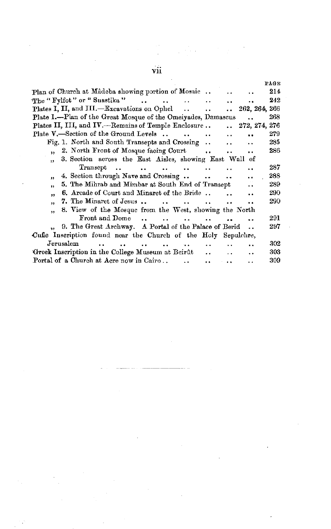#### PAGE Plan of Church at Madeba showing portion of Mosaic... 214  $\ddot{\phantom{a}}$ The "Fylfot" or "Suastika" 242  $\dddot{\phantom{0}}$  $\mathbf{r}$  $\ddot{\phantom{0}}$  $\ddot{\phantom{a}}$ Plates I, II, and III.-Excavations on Ophel 262, 264, 266  $\ddotsc$  $\ddot{\phantom{a}}$  $\ddot{\phantom{a}}$ Plate I.-Plan of the Great Mosque of the Omeiyades, Damascus 268 Plates II, III, and IV.-Remains of Temple Enclosure.. 272, 274, 276  $\ddot{\phantom{a}}$ Plate V,—Section of the Ground Levels. 279  $\ddot{\phantom{a}}$  $\ddot{\phantom{a}}$  $\ddot{\phantom{0}}$ Fig. 1. North and South Transepts and Crossing 285  $\ddot{\phantom{a}}$  $\ddot{\phantom{0}}$ Ω. 2. North Front of Mosque facing Court 286  $\overline{\mathbf{5}}$  $\ddot{\phantom{a}}$ . . 3. Section across the East Aisles, showing East Wall of  $\ddot{\phantom{0}}$ Transept  $\sim$  $\ddotsc$  $\ddot{\phantom{a}}$ 287  $\ddot{\phantom{a}}$  $\ddot{\phantom{a}}$  $\ddot{\phantom{a}}$  $\ddot{\phantom{a}}$ 288 4. Section through Nave and Crossing ..  $\ddot{\phantom{a}}$  $\ddot{\phantom{a}}$  $\sim$   $\sim$  $\ddot{\phantom{a}}$ 5. The Mihrab and Mimbar at South End of Transept 289  $\ddot{\phantom{a}}$ . . 6. Arcade of Court and Minaret of the Bride.. 290  $\ddot{\phantom{a}}$ .,  $\ddot{\phantom{1}}$ 7. The Minaret of Jesus... 290  $\ddot{\phantom{a}}$  $\ddot{\phantom{a}}$  $\ddotsc$  $\ddot{\phantom{a}}$  $\ddot{\phantom{0}}$  $\ddot{\phantom{a}}$ 8. View of the Mosque from the West, showing the North ,, Front and Dome 291  $\sim$  $\sim$  $\ddotsc$  $\ddot{\phantom{a}}$  $\ddot{\phantom{a}}$  $\overline{a}$ 9. The Great Archway. A Portal of the Palace of Berid 297  $\ddot{\phantom{a}}$ Cufic Inscription found near the Church of the Holy Sepulchre, Jerusalem  $\ddot{\phantom{a}}$  $\ddot{\phantom{a}}$ 302  $\ddot{\phantom{a}}$  $\ddot{\phantom{0}}$  $\ddot{\phantom{a}}$ ä.  $\ddot{\phantom{a}}$  $\ddot{\phantom{a}}$ Greek Inscription in the College Museum at Beirût 303  $\ddot{\phantom{a}}$  $\ddot{\phantom{a}}$ Portal of a Church at Acre now in Cairo... 309  $\ddot{\phantom{0}}$  $\ddot{\phantom{a}}$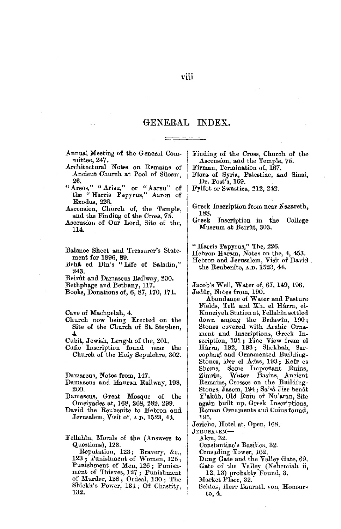## GENERAL INDEX.

| Annual Meeting of the General Com- |  |  |
|------------------------------------|--|--|
| mittee, 247.                       |  |  |

- .Architectural Notes on Remains of Ancient Church at Pool of Siloam, 26.
- " Areos," " Arisu," or " Aarsu" of the "Harris Papyrus," Aaron of Exodus, 226.
- Ascension, Church of, the Temple, and the Finding of the Cross, 75.
- Ascension of Our Lord, Site of the, 114.
- Balance Sheet and Treasurer's Statement for 1896, 89.
- Behå ed Din's "Life of Saladin," 243.
- Beiri\t and Damascus Railway, 200.
- Bethphage and Bethany, 117.
- Books, Donations of, 6, 87, 170, 171.

Cave of Machpelah, 4.

- Church now being Erected on the Site of the Church of St. Stephen, 4.
- Cubit, Jewish, Length of the, 201.
- Cufic Inscription found near the Church of the Holy Sepulchre, 302.

Damascus, Notes from, 147.

- Damascus and Hauran Railway, 198, 200.
- Damascus, Great Mosque of the Omeiyades at, 168, 268, 282, 299.
- David the Reubenite to Hebron and Jerusalem, Visit of, A.D, 1523, 44.
- Fellahin, Morals of the (Answers to Q,uestions), 123.

Reputation, 123; Bravery, &c., 123; Punishment of Women, 125; Punishment of Men, 126; Punishment of Thieves, 127 ; Punishment of Murder, 128; Ordeal, 130; The Shickh's Power, 131; Of Chastity, 132.

Finding of the Cross, Church of the Ascension, and the Temple, 75 .

- 
- Firman, Termination of, 167.<br>Flora of Syria, Palestine, and Sinai, Dr. Post's, 169.
- Fylfot or Swastica, 212, 242.
- Greek Inscription from near Nazareth, 188.<br>Greek
- Inscription in the College Museum at Beirfit, 303.

"Harris Papyrus," The, 226.

Hebron Haram, Notes on the, 4, 453.

Hebron and Jerusalem, Visit of David the Reuhenite, A.D. 1523, 44.

Jacob's Well, Water of, 67, 149, 196. Jedur, Notes from, 190\_

Abundance of Water and Pasture Fields, Tell and Kh. el HArra, el-Kuneiyeh Station at, Fellahîn settled<br>down among the Bedawîn, 190;<br>Stones covered with Arabie Ornament and Inscriptions, Greek Inscription, 191; Fine View from el<br>Hârra, 192, 193; Shokhab, Sar-<br>cophagi and Ornamented Building-Stones, Der el Adas, 193; Kefr es<br>Shems, Some Important Ruins, Some Important Ruins, Zimrin, Water Basins, Ancient :Remains, Crosses on the Building-Stones, Jasem, 194; Sa'sâ Jisr benat Y'akûb, Old Ruin of Nu'aran, Site again built up, Greek Inscriptions, Roman Ornaments and Coins found, 195.

Jericho, Hotel at, Open, 168.

JERCSALEM-

Akra, 32.

Constantine's Basilica, 32.

Crusading Tower, 102.

- Dung Gate and the Valley Gate, 69. Gate of the Valley (Nehemiah ii,
- 12, 13) probably Found, 3.

Market Place, 32.

Schick, Herr Baurath von, Honours to, 4.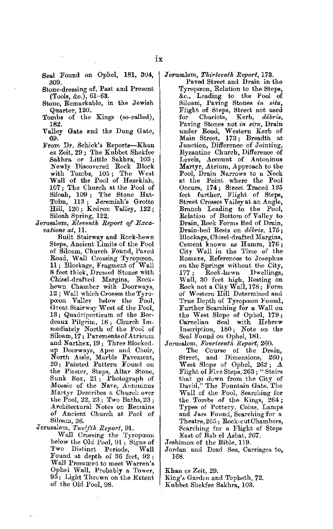- Seal Found on Ophel, **181,** 304, 309.
- Stone-dressing of, Past and Present (Tools, &c.), 61-63.
- Stone, Remarkable, in the Jewish Quarter, 120.
- Tombs of the Kings (so-called), 182.
- Valley Gate and the Dung Gate, 69.
- From Dr. Schick's Reports-Khan ez Zeit, 29; 'l'he Kubbet Shekfee Sakhra or Little Sakhra, 103; Newly Discovered Rock Block with Tombs, 105; The West Wall of the Pool of Hezekiah, 107; The Church at the Pool of Siloah, 109 ; The Stone Hat-<br>Toîm, 113 ; Jeremiah's Grotto<br>Hill, 120 ; Kedron Valley, 122 ; Siloah Spring, 122.
- Jerusalem, *Eleventh Report of Excavations at,* ll.

Built Stairway and Rock-hewn Steps, Ancient Limits of the Pool of Siloam, Church Found, Paved Road, Wall Crossing Tyropceon, 11 ; Blockage, Fragment of Wall 8 feet thick, Dressed Stones with Chisel-drafted Margins, Rockhewn Chamber with Doorways, 12; Walt which Crosses the Tyropooon Valley below the Pool, Great Stairway West of the Pool, 13 ; Quadriporticum of the Bordeaux Pilgrim,  $16$ ; Church Im. mediatelv North of the l'ool of Siloam, 17; Pavements of Atricum and Narthex, 19; Three Blocked. up Doorways, Apse and Choir, North Aisle, Marble Pavement, 20; Painted Pattern Found on the Plaster, Steps, Altar Stone,<br>Sunk Box, 21; Photograph of<br>Mosaic of the Nave, Antoninus Martyr Describes a Church over the Pool, 22, 23 ; Two Baths, 23 ; Architectural Notes on Remains of Ancient Church at Pool of Siloam, 26.

Jerusalem, Twelfth Report, 91.

Wall Crossing the Tyropoon below the Old Pool, 91 ; Signs of Two Distinct Periods, Wall Found at depth of 36 feet, 92 ; Wall Presumed to meet Warren's Ophei Wall, Probably a Tower, 95; Light Thrown on the Extent of the Old Pool, 98.

Jerusalem, *Thirteenth Report*, 173.

Paved Street and Drain in the Tyropceon, Relation to the Steps, &e., Leading to the Pool of Siloam, Paving Stones in situ, FJight of Steps, Street not used for Chariots, Kerb, *debris,*  Paving Stones not *in siru*, Drain<br>under Road, Western Kerb of<br>Main Street, 173; Breadth at Junction, Difference of Jointing, Byzantine Church, Difference of Levels, Account of Antoninus Martyr, Atrium, Approach to the Pool, Drain Narrows to a Neck at the Point where the Pool Occurs, 174; Street Traced 125 feet further, Flight of Steps, Street Crossos Valley at an Angle, Branch Leading to the Pool, Relation of Bottom of Valley to Drain, Rock Forms Bed of Drain, Drain-bed Rests on *debris,* 175; Blockage, Chisel-drafted Margins, Cement known as Hamra, **176;**  City Wall in the Time of the Romans, References to Josephus on the Springs without the City,<br>177; Rock-hewn Dwellings, Rock-hewn Dwellings, Wall, 30 feet high, Resting on Rock not a City Wall, 178; Form of Western Hill Determined and True Depth of Tyropœon Found, Further Searching for a Wall on the West Slope of Ophel, 179; Carnelian Seal with Hebrew Inscription, 180; Note on the Seal Found on Ophel, **181.** 

Jerusalem, *Fourteenth Report,* 260.

The Course of the Drain, Street, and Dimensions, 260; West Slope of Ophel, *262* ; *A*  Flight of *Five* Steps, 263; "Stairs that go down from the City of David," The Fountain Gate, The Wall of the Pool, Searching for the Tombs of the Kings, 264; Types of Pottery, Coins, Lamps and Jars Found, Searching for a Theatre, 265; Rock-cut Chambers, Searching for a Flight of Steps East of Babel Asbat, 267.

**J** eshimon of the Bible, 119.

Jordan and Dead Sea, Carriages to, 168.

Khan ez Zeit, 29.

King's Garden and Topheth, **72.** 

Kubbet Shekfee Sakhra, 103.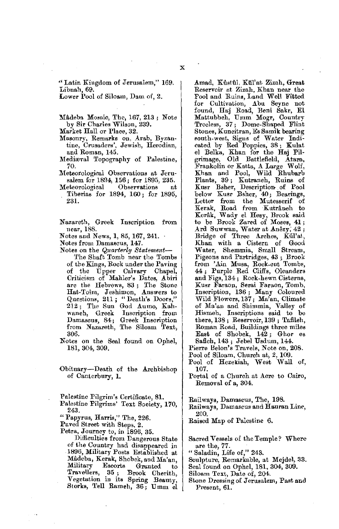Lower Pool of Siloam, Dam of, 2.

Mådeba Mosaic, The, 167, 213; Note by Sir Charles Wilson, 239.

Market Hall or Place, 32.

- Masonry, Remarks on, Arab, Byzantine, Crusaders', Jewish, Herodian, and Roman, 145.
- Mediaval Topography of Palestine, 70.
- 1Heteorological Observations at Jerusalem for 1894, 156; for 1895, 235.<br>eteorological Observations at
- Meteorological Observations at Tiberias for 1894, 160 ; for 1895, 231.

Nazareth, Greek Inscription from near, 188.

Notes and News, 1, 85, 167, 241. ·

- Notes from Damascus, 147.
- Notes on the *Quarterly Statement-*
	- The Shaft Tomb near the Tombs of the Kings, Rock under the Paving of tbe Upper Calvary Chapel, Criticism of Mahler's Dates, Abiri are the Hebrews, 83; The Stone Hat-Toim, Jeshimon, Answers to Questions, 211; "Death's Doors," 212; The Sun God Aumo, Kahwaneh, Greek Inscription from Damascus, 84; Greek Inscription from Nazareth, The Siloam '£ext, 306.

Notes on the Seal found on 0phel, 181, 304, 309.

Obituary-Death of the Archbishop of Canterbury, **1.** 

Palestine Pilgrim's Certificate, **81.** 

- Palestine Pilgrims' Text Society, 170, 243.
- "' Papyrus, Harris," The, 226.

Paved Street with Steps, 2.

Petra, Journey to, in 1896, 35.

Difficulties from Dangerous State of the Country had disappeared in 1896, Military Posts Established at Madeba, Kerak, Shobek, and Ma'an Military Escorts Grunted to<br>Travellers, 35; Brook Cherith,<br>Vegetation in its Spring Beauty;<br>Storks, Tell Rameh, 36; Umm el Amad, Kustul, Kül'at Zizah, Great Reservoir at Zizah, Khan near the Fool and Ruins, Land Well Fitted for Cultivation, Abu Seyne not found, Haj Road, Beni Sakr, El Mattubbeh, Umm Mogr, Country Treeless, 37 ; Dome-Shaped Flint Stones, Kuneitran, Es Samik bearing south-west, Signs of Water Indi-cated by Red Poppies, 38; Kulat el Belka, Khan for the Haj Pilgrimage, Old Battlefield, Atara, Frankolin or Katta, A Large Wolf, Khan and Pool, Wild Rhubarb Plants, 39 ; Kutraneh, Ruins of Kusr Bsher, Description of Pool<br>below Kusr Bsher, 40; Bearings,<br>Letter from the Mutesserif of Kerak, Road from Kutråneh to Kcrak, Wady el Hesy, Brook said to be Brook Zared of Moses, **41;**  Ard Suwwan, Water at Anezy, 42; Bridge of Three Arches, Kiil'at, Khan with a Cistern of Good Water, Shemmia, Small Stream, Pigeons and Partridges, 43 ; Brook from 'Ain Musa, Rock-cut Tombs,<br>44; Purple Red Cliffs, Oleanders and Figs, 134 ; Rock-hewn Cisterns, Kusr Faraon, Serai Faraon, Tomb, Inscription, 136; Many Coloured<br>Wild Flowers, 137; Ma'an, Climate of Ma'an and Shimmia, Valley of Hismeh, Inscriptions said to be there, 138; Reservoir, 139 ; Tafileh, Roman Road, Buildings three miles East of Shobek, 142; Ghor es

Safieh, 143; Jebel Usdum, 144. Pierre Beion's Travels, Note on, 208.

Pool of Siloam, Church at, 2, 109.

- Pool of Hezekiah, West Wall of, 107.
- Portal of a Church at Acre to Cairo, Removal of a, 304.

Railways, Damascus, The, 198.

Railways, Damascus and Hauran Line, 200.

Raised Map of Palestine 6.

Sacred Vessels of the Temple? Where are the, 77.

"Saladin, Life of," 243.

Sculpture, Remarkable, ut Mejdel, 33.

Seal found on 0phel, 181, 304, 309.

Siloam Text, Date of, 204.

Stone Dressing of Jerusalem, Past and Present, 61.